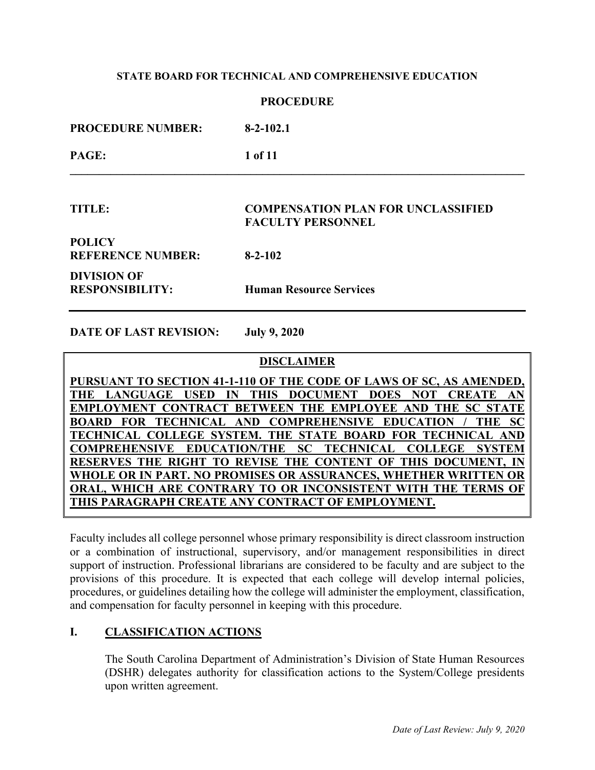### **PROCEDURE**

| <b>PROCEDURE NUMBER:</b>                     | $8-2-102.1$                                                           |
|----------------------------------------------|-----------------------------------------------------------------------|
| PAGE:                                        | 1 of 11                                                               |
| TITLE:                                       | <b>COMPENSATION PLAN FOR UNCLASSIFIED</b><br><b>FACULTY PERSONNEL</b> |
| <b>POLICY</b><br><b>REFERENCE NUMBER:</b>    | $8 - 2 - 102$                                                         |
| <b>DIVISION OF</b><br><b>RESPONSIBILITY:</b> | <b>Human Resource Services</b>                                        |

**DATE OF LAST REVISION: July 9, 2020**

**DISCLAIMER**

**PURSUANT TO SECTION 41-1-110 OF THE CODE OF LAWS OF SC, AS AMENDED, THE LANGUAGE USED IN THIS DOCUMENT DOES NOT CREATE AN EMPLOYMENT CONTRACT BETWEEN THE EMPLOYEE AND THE SC STATE BOARD FOR TECHNICAL AND COMPREHENSIVE EDUCATION / THE SC TECHNICAL COLLEGE SYSTEM. THE STATE BOARD FOR TECHNICAL AND COMPREHENSIVE EDUCATION/THE SC TECHNICAL COLLEGE SYSTEM RESERVES THE RIGHT TO REVISE THE CONTENT OF THIS DOCUMENT, IN WHOLE OR IN PART. NO PROMISES OR ASSURANCES, WHETHER WRITTEN OR ORAL, WHICH ARE CONTRARY TO OR INCONSISTENT WITH THE TERMS OF THIS PARAGRAPH CREATE ANY CONTRACT OF EMPLOYMENT.**

Faculty includes all college personnel whose primary responsibility is direct classroom instruction or a combination of instructional, supervisory, and/or management responsibilities in direct support of instruction. Professional librarians are considered to be faculty and are subject to the provisions of this procedure. It is expected that each college will develop internal policies, procedures, or guidelines detailing how the college will administer the employment, classification, and compensation for faculty personnel in keeping with this procedure.

# **I. CLASSIFICATION ACTIONS**

The South Carolina Department of Administration's Division of State Human Resources (DSHR) delegates authority for classification actions to the System/College presidents upon written agreement.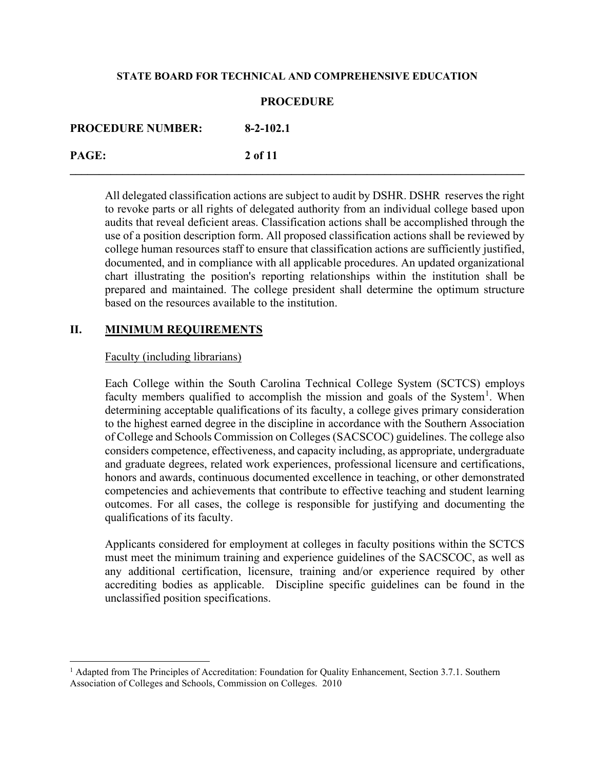| <b>PROCEDURE NUMBER:</b> | $8-2-102.1$ |
|--------------------------|-------------|
| PAGE:                    | 2 of 11     |

All delegated classification actions are subject to audit by DSHR. DSHR reserves the right to revoke parts or all rights of delegated authority from an individual college based upon audits that reveal deficient areas. Classification actions shall be accomplished through the use of a position description form. All proposed classification actions shall be reviewed by college human resources staff to ensure that classification actions are sufficiently justified, documented, and in compliance with all applicable procedures. An updated organizational chart illustrating the position's reporting relationships within the institution shall be prepared and maintained. The college president shall determine the optimum structure based on the resources available to the institution.

# **II. MINIMUM REQUIREMENTS**

# Faculty (including librarians)

Each College within the South Carolina Technical College System (SCTCS) employs faculty members qualified to accomplish the mission and goals of the System<sup>[1](#page-1-0)</sup>. When determining acceptable qualifications of its faculty, a college gives primary consideration to the highest earned degree in the discipline in accordance with the Southern Association of College and Schools Commission on Colleges (SACSCOC) guidelines. The college also considers competence, effectiveness, and capacity including, as appropriate, undergraduate and graduate degrees, related work experiences, professional licensure and certifications, honors and awards, continuous documented excellence in teaching, or other demonstrated competencies and achievements that contribute to effective teaching and student learning outcomes. For all cases, the college is responsible for justifying and documenting the qualifications of its faculty.

Applicants considered for employment at colleges in faculty positions within the SCTCS must meet the minimum training and experience guidelines of the SACSCOC, as well as any additional certification, licensure, training and/or experience required by other accrediting bodies as applicable. Discipline specific guidelines can be found in the unclassified position specifications.

<span id="page-1-0"></span> $<sup>1</sup>$  Adapted from The Principles of Accreditation: Foundation for Quality Enhancement, Section 3.7.1. Southern</sup> Association of Colleges and Schools, Commission on Colleges. 2010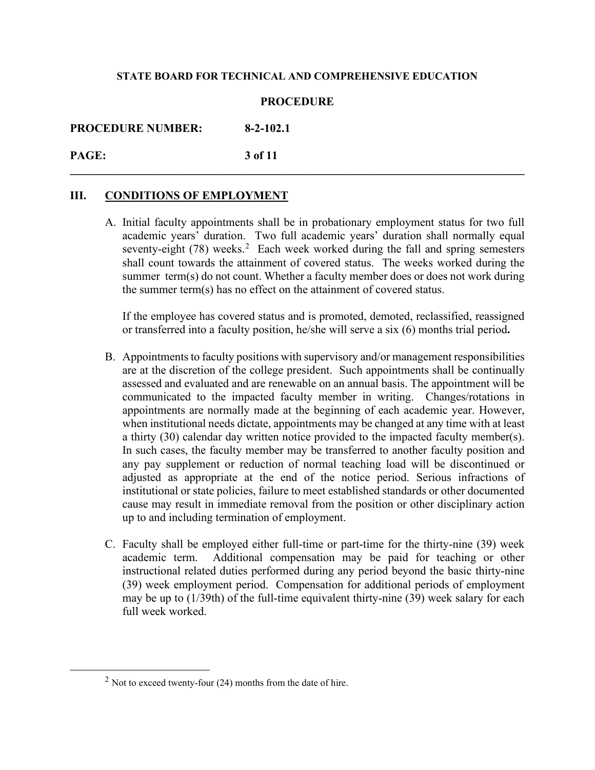# **PROCEDURE**

**\_\_\_\_\_\_\_\_\_\_\_\_\_\_\_\_\_\_\_\_\_\_\_\_\_\_\_\_\_\_\_\_\_\_\_\_\_\_\_\_\_\_\_\_\_\_\_\_\_\_\_\_\_\_\_\_\_\_\_\_\_\_\_\_\_\_\_\_\_\_\_\_\_\_\_\_\_\_**

**PROCEDURE NUMBER: 8-2-102.1**

**PAGE: 3 of 11**

# **III. CONDITIONS OF EMPLOYMENT**

A. Initial faculty appointments shall be in probationary employment status for two full academic years' duration. Two full academic years' duration shall normally equal seventy-eight  $(78)$  weeks.<sup>[2](#page-2-0)</sup> Each week worked during the fall and spring semesters shall count towards the attainment of covered status. The weeks worked during the summer term(s) do not count. Whether a faculty member does or does not work during the summer term(s) has no effect on the attainment of covered status.

If the employee has covered status and is promoted, demoted, reclassified, reassigned or transferred into a faculty position, he/she will serve a six (6) months trial period**.**

- B. Appointments to faculty positions with supervisory and/or management responsibilities are at the discretion of the college president. Such appointments shall be continually assessed and evaluated and are renewable on an annual basis. The appointment will be communicated to the impacted faculty member in writing. Changes/rotations in appointments are normally made at the beginning of each academic year. However, when institutional needs dictate, appointments may be changed at any time with at least a thirty (30) calendar day written notice provided to the impacted faculty member(s). In such cases, the faculty member may be transferred to another faculty position and any pay supplement or reduction of normal teaching load will be discontinued or adjusted as appropriate at the end of the notice period. Serious infractions of institutional or state policies, failure to meet established standards or other documented cause may result in immediate removal from the position or other disciplinary action up to and including termination of employment.
- C. Faculty shall be employed either full-time or part-time for the thirty-nine (39) week academic term. Additional compensation may be paid for teaching or other instructional related duties performed during any period beyond the basic thirty-nine (39) week employment period. Compensation for additional periods of employment may be up to (1/39th) of the full-time equivalent thirty-nine (39) week salary for each full week worked.

<span id="page-2-0"></span> $2$  Not to exceed twenty-four (24) months from the date of hire.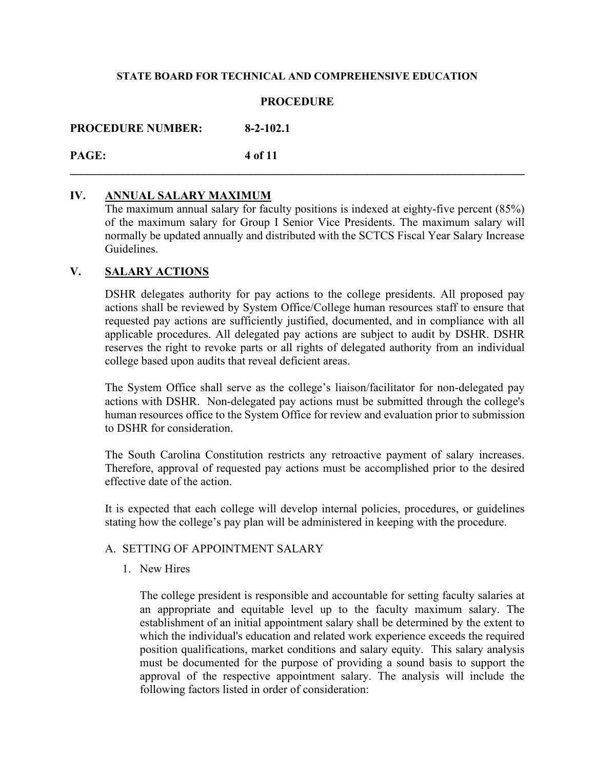# **PROCEDURE**

**PROCEDURE NUMBER: 8-2-102.1**

**PAGE: 4 of 11 \_\_\_\_\_\_\_\_\_\_\_\_\_\_\_\_\_\_\_\_\_\_\_\_\_\_\_\_\_\_\_\_\_\_\_\_\_\_\_\_\_\_\_\_\_\_\_\_\_\_\_\_\_\_\_\_\_\_\_\_\_\_\_\_\_\_\_\_\_\_\_\_\_\_\_\_\_\_**

# **IV. ANNUAL SALARY MAXIMUM**

The maximum annual salary for faculty positions is indexed at eighty-five percent (85%) of the maximum salary for Group I Senior Vice Presidents. The maximum salary will normally be updated annually and distributed with the SCTCS Fiscal Year Salary Increase Guidelines.

# **V. SALARY ACTIONS**

DSHR delegates authority for pay actions to the college presidents. All proposed pay actions shall be reviewed by System Office/College human resources staff to ensure that requested pay actions are sufficiently justified, documented, and in compliance with all applicable procedures. All delegated pay actions are subject to audit by DSHR. DSHR reserves the right to revoke parts or all rights of delegated authority from an individual college based upon audits that reveal deficient areas.

The System Office shall serve as the college's liaison/facilitator for non-delegated pay actions with DSHR. Non-delegated pay actions must be submitted through the college's human resources office to the System Office for review and evaluation prior to submission to DSHR for consideration.

The South Carolina Constitution restricts any retroactive payment of salary increases. Therefore, approval of requested pay actions must be accomplished prior to the desired effective date of the action.

It is expected that each college will develop internal policies, procedures, or guidelines stating how the college's pay plan will be administered in keeping with the procedure.

# A. SETTING OF APPOINTMENT SALARY

1. New Hires

The college president is responsible and accountable for setting faculty salaries at an appropriate and equitable level up to the faculty maximum salary. The establishment of an initial appointment salary shall be determined by the extent to which the individual's education and related work experience exceeds the required position qualifications, market conditions and salary equity. This salary analysis must be documented for the purpose of providing a sound basis to support the approval of the respective appointment salary. The analysis will include the following factors listed in order of consideration: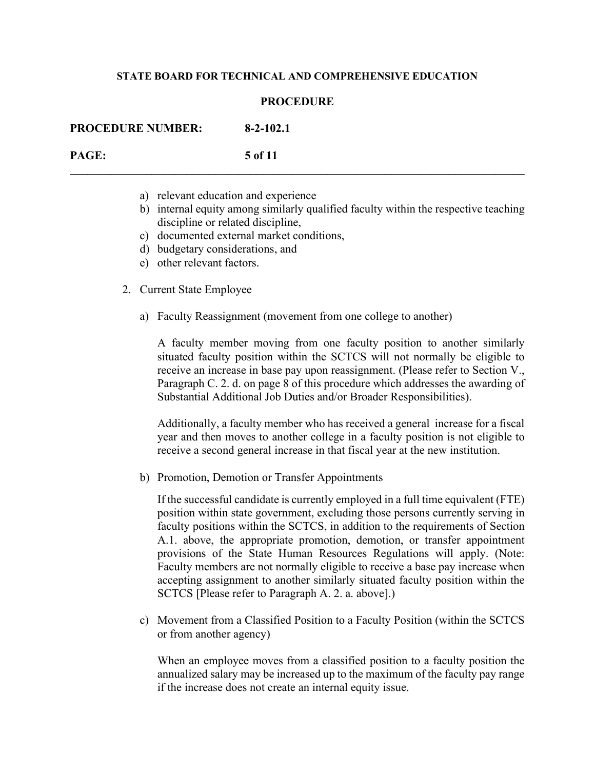### **PROCEDURE**

**\_\_\_\_\_\_\_\_\_\_\_\_\_\_\_\_\_\_\_\_\_\_\_\_\_\_\_\_\_\_\_\_\_\_\_\_\_\_\_\_\_\_\_\_\_\_\_\_\_\_\_\_\_\_\_\_\_\_\_\_\_\_\_\_\_\_\_\_\_\_\_\_\_\_\_\_\_\_**

**PROCEDURE NUMBER: 8-2-102.1 PAGE: 5 of 11**

- a) relevant education and experience
- b) internal equity among similarly qualified faculty within the respective teaching discipline or related discipline,
- c) documented external market conditions,
- d) budgetary considerations, and
- e) other relevant factors.
- 2. Current State Employee
	- a) Faculty Reassignment (movement from one college to another)

A faculty member moving from one faculty position to another similarly situated faculty position within the SCTCS will not normally be eligible to receive an increase in base pay upon reassignment. (Please refer to Section V., Paragraph C. 2. d. on page 8 of this procedure which addresses the awarding of Substantial Additional Job Duties and/or Broader Responsibilities).

Additionally, a faculty member who has received a general increase for a fiscal year and then moves to another college in a faculty position is not eligible to receive a second general increase in that fiscal year at the new institution.

b) Promotion, Demotion or Transfer Appointments

If the successful candidate is currently employed in a full time equivalent (FTE) position within state government, excluding those persons currently serving in faculty positions within the SCTCS, in addition to the requirements of Section A.1. above, the appropriate promotion, demotion, or transfer appointment provisions of the State Human Resources Regulations will apply. (Note: Faculty members are not normally eligible to receive a base pay increase when accepting assignment to another similarly situated faculty position within the SCTCS [Please refer to Paragraph A. 2. a. above].)

c) Movement from a Classified Position to a Faculty Position (within the SCTCS or from another agency)

When an employee moves from a classified position to a faculty position the annualized salary may be increased up to the maximum of the faculty pay range if the increase does not create an internal equity issue.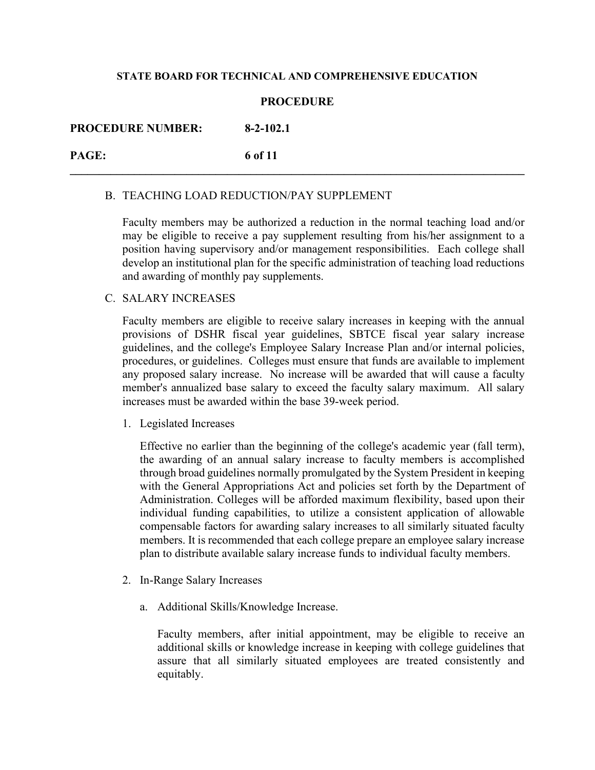# **PROCEDURE**

**\_\_\_\_\_\_\_\_\_\_\_\_\_\_\_\_\_\_\_\_\_\_\_\_\_\_\_\_\_\_\_\_\_\_\_\_\_\_\_\_\_\_\_\_\_\_\_\_\_\_\_\_\_\_\_\_\_\_\_\_\_\_\_\_\_\_\_\_\_\_\_\_\_\_\_\_\_\_**

# **PROCEDURE NUMBER: 8-2-102.1**

**PAGE: 6 of 11**

# B. TEACHING LOAD REDUCTION/PAY SUPPLEMENT

Faculty members may be authorized a reduction in the normal teaching load and/or may be eligible to receive a pay supplement resulting from his/her assignment to a position having supervisory and/or management responsibilities. Each college shall develop an institutional plan for the specific administration of teaching load reductions and awarding of monthly pay supplements.

# C. SALARY INCREASES

Faculty members are eligible to receive salary increases in keeping with the annual provisions of DSHR fiscal year guidelines, SBTCE fiscal year salary increase guidelines, and the college's Employee Salary Increase Plan and/or internal policies, procedures, or guidelines. Colleges must ensure that funds are available to implement any proposed salary increase. No increase will be awarded that will cause a faculty member's annualized base salary to exceed the faculty salary maximum. All salary increases must be awarded within the base 39-week period.

1. Legislated Increases

Effective no earlier than the beginning of the college's academic year (fall term), the awarding of an annual salary increase to faculty members is accomplished through broad guidelines normally promulgated by the System President in keeping with the General Appropriations Act and policies set forth by the Department of Administration. Colleges will be afforded maximum flexibility, based upon their individual funding capabilities, to utilize a consistent application of allowable compensable factors for awarding salary increases to all similarly situated faculty members. It is recommended that each college prepare an employee salary increase plan to distribute available salary increase funds to individual faculty members.

- 2. In-Range Salary Increases
	- a. Additional Skills/Knowledge Increase.

Faculty members, after initial appointment, may be eligible to receive an additional skills or knowledge increase in keeping with college guidelines that assure that all similarly situated employees are treated consistently and equitably.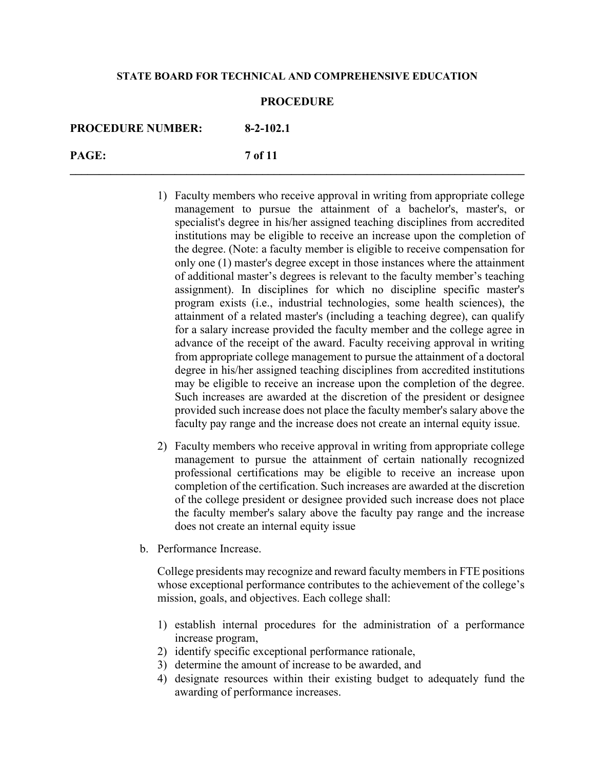### **PROCEDURE**

**\_\_\_\_\_\_\_\_\_\_\_\_\_\_\_\_\_\_\_\_\_\_\_\_\_\_\_\_\_\_\_\_\_\_\_\_\_\_\_\_\_\_\_\_\_\_\_\_\_\_\_\_\_\_\_\_\_\_\_\_\_\_\_\_\_\_\_\_\_\_\_\_\_\_\_\_\_\_**

| <b>PROCEDURE NUMBER:</b> | $8-2-102.1$ |
|--------------------------|-------------|
| <b>PAGE:</b>             | 7 of 11     |

- 1) Faculty members who receive approval in writing from appropriate college management to pursue the attainment of a bachelor's, master's, or specialist's degree in his/her assigned teaching disciplines from accredited institutions may be eligible to receive an increase upon the completion of the degree. (Note: a faculty member is eligible to receive compensation for only one (1) master's degree except in those instances where the attainment of additional master's degrees is relevant to the faculty member's teaching assignment). In disciplines for which no discipline specific master's program exists (i.e., industrial technologies, some health sciences), the attainment of a related master's (including a teaching degree), can qualify for a salary increase provided the faculty member and the college agree in advance of the receipt of the award. Faculty receiving approval in writing from appropriate college management to pursue the attainment of a doctoral degree in his/her assigned teaching disciplines from accredited institutions may be eligible to receive an increase upon the completion of the degree. Such increases are awarded at the discretion of the president or designee provided such increase does not place the faculty member's salary above the faculty pay range and the increase does not create an internal equity issue.
- 2) Faculty members who receive approval in writing from appropriate college management to pursue the attainment of certain nationally recognized professional certifications may be eligible to receive an increase upon completion of the certification. Such increases are awarded at the discretion of the college president or designee provided such increase does not place the faculty member's salary above the faculty pay range and the increase does not create an internal equity issue
- b. Performance Increase.

College presidents may recognize and reward faculty members in FTE positions whose exceptional performance contributes to the achievement of the college's mission, goals, and objectives. Each college shall:

- 1) establish internal procedures for the administration of a performance increase program,
- 2) identify specific exceptional performance rationale,
- 3) determine the amount of increase to be awarded, and
- 4) designate resources within their existing budget to adequately fund the awarding of performance increases.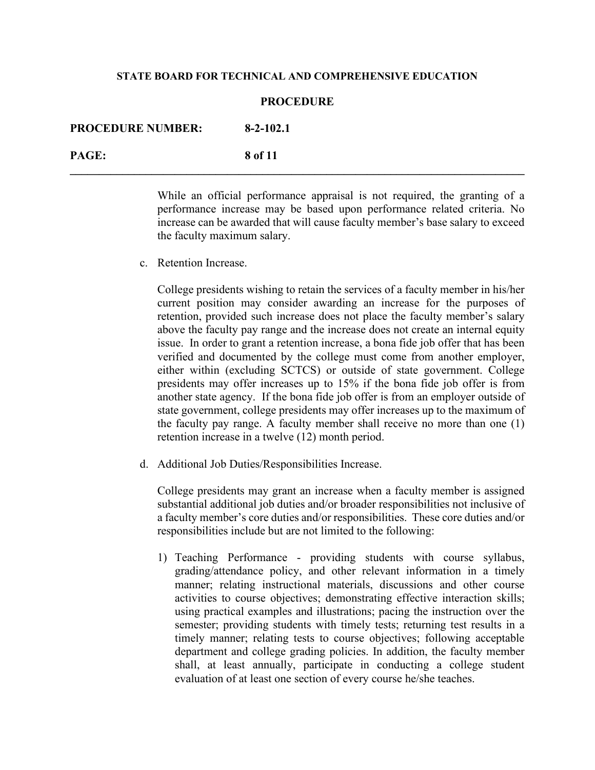#### **PROCEDURE**

| <b>PROCEDURE NUMBER:</b> | $8-2-102.1$ |
|--------------------------|-------------|
| PAGE:                    | 8 of 11     |

While an official performance appraisal is not required, the granting of a performance increase may be based upon performance related criteria. No increase can be awarded that will cause faculty member's base salary to exceed the faculty maximum salary.

c. Retention Increase.

College presidents wishing to retain the services of a faculty member in his/her current position may consider awarding an increase for the purposes of retention, provided such increase does not place the faculty member's salary above the faculty pay range and the increase does not create an internal equity issue. In order to grant a retention increase, a bona fide job offer that has been verified and documented by the college must come from another employer, either within (excluding SCTCS) or outside of state government. College presidents may offer increases up to 15% if the bona fide job offer is from another state agency. If the bona fide job offer is from an employer outside of state government, college presidents may offer increases up to the maximum of the faculty pay range. A faculty member shall receive no more than one (1) retention increase in a twelve (12) month period.

d. Additional Job Duties/Responsibilities Increase.

College presidents may grant an increase when a faculty member is assigned substantial additional job duties and/or broader responsibilities not inclusive of a faculty member's core duties and/or responsibilities. These core duties and/or responsibilities include but are not limited to the following:

1) Teaching Performance - providing students with course syllabus, grading/attendance policy, and other relevant information in a timely manner; relating instructional materials, discussions and other course activities to course objectives; demonstrating effective interaction skills; using practical examples and illustrations; pacing the instruction over the semester; providing students with timely tests; returning test results in a timely manner; relating tests to course objectives; following acceptable department and college grading policies. In addition, the faculty member shall, at least annually, participate in conducting a college student evaluation of at least one section of every course he/she teaches.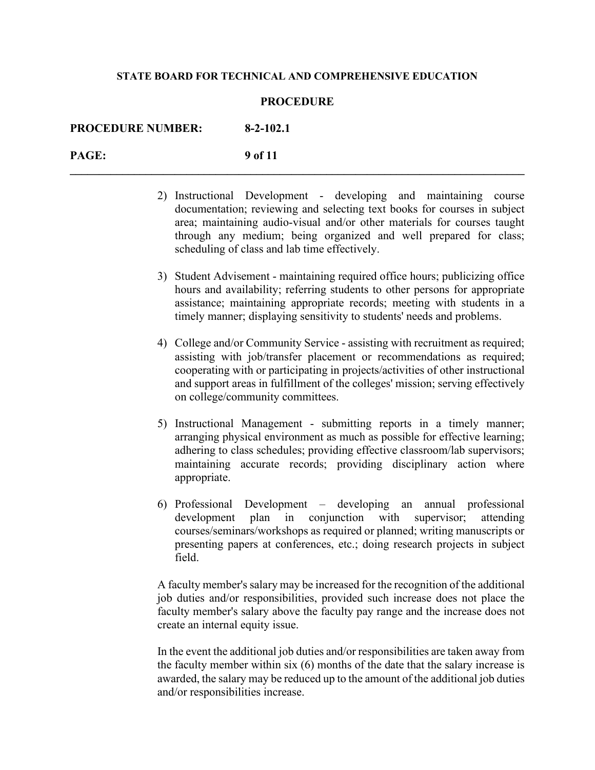#### **PROCEDURE**

| <b>PROCEDURE NUMBER:</b> | $8-2-102.1$ |
|--------------------------|-------------|
| PAGE:                    | 9 of 11     |

- 2) Instructional Development developing and maintaining course documentation; reviewing and selecting text books for courses in subject area; maintaining audio-visual and/or other materials for courses taught through any medium; being organized and well prepared for class; scheduling of class and lab time effectively.
- 3) Student Advisement maintaining required office hours; publicizing office hours and availability; referring students to other persons for appropriate assistance; maintaining appropriate records; meeting with students in a timely manner; displaying sensitivity to students' needs and problems.
- 4) College and/or Community Service assisting with recruitment as required; assisting with job/transfer placement or recommendations as required; cooperating with or participating in projects/activities of other instructional and support areas in fulfillment of the colleges' mission; serving effectively on college/community committees.
- 5) Instructional Management submitting reports in a timely manner; arranging physical environment as much as possible for effective learning; adhering to class schedules; providing effective classroom/lab supervisors; maintaining accurate records; providing disciplinary action where appropriate.
- 6) Professional Development developing an annual professional development plan in conjunction with supervisor; attending courses/seminars/workshops as required or planned; writing manuscripts or presenting papers at conferences, etc.; doing research projects in subject field.

A faculty member's salary may be increased for the recognition of the additional job duties and/or responsibilities, provided such increase does not place the faculty member's salary above the faculty pay range and the increase does not create an internal equity issue.

In the event the additional job duties and/or responsibilities are taken away from the faculty member within six (6) months of the date that the salary increase is awarded, the salary may be reduced up to the amount of the additional job duties and/or responsibilities increase.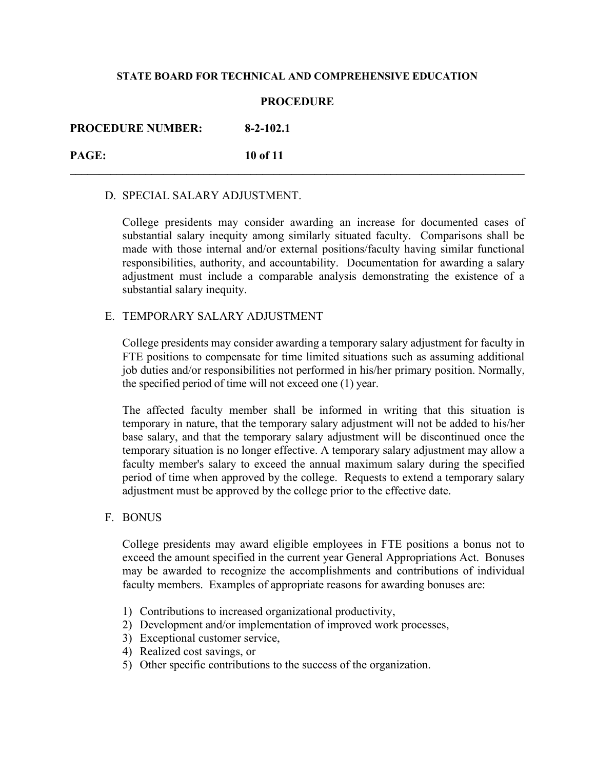### **PROCEDURE**

**\_\_\_\_\_\_\_\_\_\_\_\_\_\_\_\_\_\_\_\_\_\_\_\_\_\_\_\_\_\_\_\_\_\_\_\_\_\_\_\_\_\_\_\_\_\_\_\_\_\_\_\_\_\_\_\_\_\_\_\_\_\_\_\_\_\_\_\_\_\_\_\_\_\_\_\_\_\_**

# **PROCEDURE NUMBER: 8-2-102.1**

**PAGE: 10 of 11**

### D. SPECIAL SALARY ADJUSTMENT.

College presidents may consider awarding an increase for documented cases of substantial salary inequity among similarly situated faculty. Comparisons shall be made with those internal and/or external positions/faculty having similar functional responsibilities, authority, and accountability. Documentation for awarding a salary adjustment must include a comparable analysis demonstrating the existence of a substantial salary inequity.

# E. TEMPORARY SALARY ADJUSTMENT

College presidents may consider awarding a temporary salary adjustment for faculty in FTE positions to compensate for time limited situations such as assuming additional job duties and/or responsibilities not performed in his/her primary position. Normally, the specified period of time will not exceed one (1) year.

The affected faculty member shall be informed in writing that this situation is temporary in nature, that the temporary salary adjustment will not be added to his/her base salary, and that the temporary salary adjustment will be discontinued once the temporary situation is no longer effective. A temporary salary adjustment may allow a faculty member's salary to exceed the annual maximum salary during the specified period of time when approved by the college. Requests to extend a temporary salary adjustment must be approved by the college prior to the effective date.

F. BONUS

College presidents may award eligible employees in FTE positions a bonus not to exceed the amount specified in the current year General Appropriations Act. Bonuses may be awarded to recognize the accomplishments and contributions of individual faculty members. Examples of appropriate reasons for awarding bonuses are:

- 1) Contributions to increased organizational productivity,
- 2) Development and/or implementation of improved work processes,
- 3) Exceptional customer service,
- 4) Realized cost savings, or
- 5) Other specific contributions to the success of the organization.